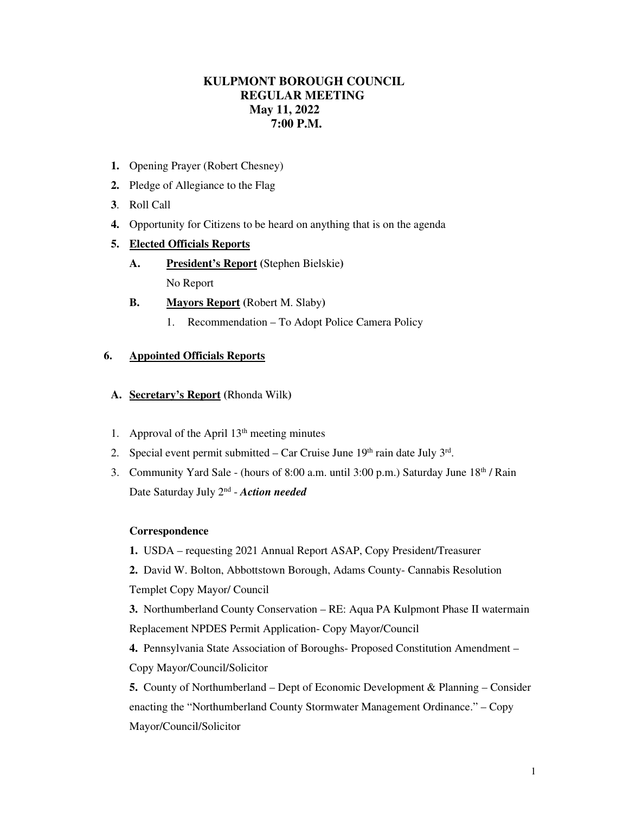# **KULPMONT BOROUGH COUNCIL REGULAR MEETING May 11, 2022 7:00 P.M.**

- **1.** Opening Prayer (Robert Chesney)
- **2.** Pledge of Allegiance to the Flag
- **3**. Roll Call
- **4.** Opportunity for Citizens to be heard on anything that is on the agenda

### **5. Elected Officials Reports**

- **A. President's Report (**Stephen Bielskie**)**  No Report
- **B. Mayors Report (**Robert M. Slaby**)** 
	- 1. Recommendation To Adopt Police Camera Policy

# **6. Appointed Officials Reports**

- **A. Secretary's Report (**Rhonda Wilk**)**
- 1. Approval of the April  $13<sup>th</sup>$  meeting minutes
- 2. Special event permit submitted  $-$  Car Cruise June 19<sup>th</sup> rain date July  $3<sup>rd</sup>$ .
- 3. Community Yard Sale (hours of 8:00 a.m. until  $3:00$  p.m.) Saturday June  $18<sup>th</sup>$  / Rain Date Saturday July 2nd - *Action needed*

#### **Correspondence**

**1.** USDA – requesting 2021 Annual Report ASAP, Copy President/Treasurer

**2.** David W. Bolton, Abbottstown Borough, Adams County- Cannabis Resolution Templet Copy Mayor/ Council

**3.** Northumberland County Conservation – RE: Aqua PA Kulpmont Phase II watermain Replacement NPDES Permit Application- Copy Mayor/Council

**4.** Pennsylvania State Association of Boroughs- Proposed Constitution Amendment – Copy Mayor/Council/Solicitor

**5.** County of Northumberland – Dept of Economic Development & Planning – Consider enacting the "Northumberland County Stormwater Management Ordinance." – Copy Mayor/Council/Solicitor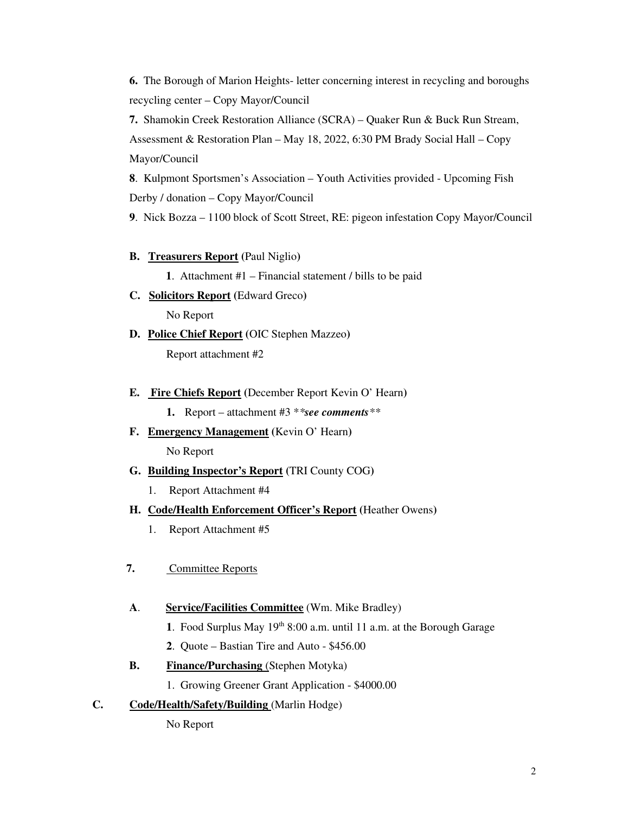**6.** The Borough of Marion Heights- letter concerning interest in recycling and boroughs recycling center – Copy Mayor/Council

**7.** Shamokin Creek Restoration Alliance (SCRA) – Quaker Run & Buck Run Stream, Assessment & Restoration Plan – May 18, 2022, 6:30 PM Brady Social Hall – Copy Mayor/Council

**8**. Kulpmont Sportsmen's Association – Youth Activities provided - Upcoming Fish Derby / donation – Copy Mayor/Council

**9**. Nick Bozza – 1100 block of Scott Street, RE: pigeon infestation Copy Mayor/Council

**B. Treasurers Report (**Paul Niglio**)**

**1**. Attachment #1 – Financial statement / bills to be paid

- **C. Solicitors Report (**Edward Greco**)**  No Report
- **D. Police Chief Report (**OIC Stephen Mazzeo**)**  Report attachment #2
- **E. Fire Chiefs Report (**December Report Kevin O' Hearn**)**

**1.** Report – attachment #3 \**\*see comments\*\**

- **F. Emergency Management (**Kevin O' Hearn**)**  No Report
- **G. Building Inspector's Report (**TRI County COG**)** 
	- 1. Report Attachment #4
- **H. Code/Health Enforcement Officer's Report (**Heather Owens**)** 
	- 1. Report Attachment #5
- **7.** Committee Reports
- **A**. **Service/Facilities Committee** (Wm. Mike Bradley)
	- 1. Food Surplus May 19<sup>th</sup> 8:00 a.m. until 11 a.m. at the Borough Garage
	- **2**. Quote Bastian Tire and Auto \$456.00
- **B.** Finance/Purchasing (Stephen Motyka)
	- 1. Growing Greener Grant Application \$4000.00

### **C. Code/Health/Safety/Building** (Marlin Hodge)

No Report